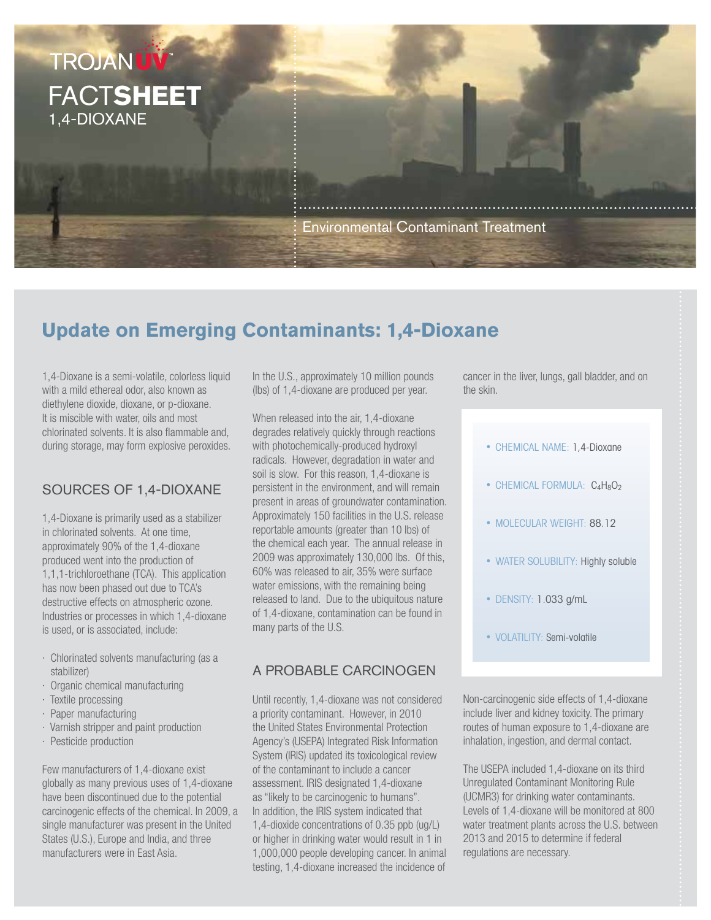

## **Update on Emerging Contaminants: 1,4-Dioxane**

1,4-Dioxane is a semi-volatile, colorless liquid with a mild ethereal odor, also known as diethylene dioxide, dioxane, or p-dioxane. It is miscible with water, oils and most chlorinated solvents. It is also flammable and, during storage, may form explosive peroxides.

#### Sources of 1,4-Dioxane

1,4-Dioxane is primarily used as a stabilizer in chlorinated solvents. At one time, approximately 90% of the 1,4-dioxane produced went into the production of 1,1,1-trichloroethane (TCA). This application has now been phased out due to TCA's destructive effects on atmospheric ozone. Industries or processes in which 1,4-dioxane is used, or is associated, include:

- · Chlorinated solvents manufacturing (as a stabilizer)
- · Organic chemical manufacturing
- · Textile processing
- · Paper manufacturing
- · Varnish stripper and paint production
- · Pesticide production

Few manufacturers of 1,4-dioxane exist globally as many previous uses of 1,4-dioxane have been discontinued due to the potential carcinogenic effects of the chemical. In 2009, a single manufacturer was present in the United States (U.S.), Europe and India, and three manufacturers were in East Asia.

In the U.S., approximately 10 million pounds (lbs) of 1,4-dioxane are produced per year.

When released into the air, 1,4-dioxane degrades relatively quickly through reactions with photochemically-produced hydroxyl radicals. However, degradation in water and soil is slow. For this reason, 1,4-dioxane is persistent in the environment, and will remain present in areas of groundwater contamination. Approximately 150 facilities in the U.S. release reportable amounts (greater than 10 lbs) of the chemical each year. The annual release in 2009 was approximately 130,000 lbs. Of this, 60% was released to air, 35% were surface water emissions, with the remaining being released to land. Due to the ubiquitous nature of 1,4-dioxane, contamination can be found in many parts of the U.S.

### A Probable Carcinogen

Until recently, 1,4-dioxane was not considered a priority contaminant. However, in 2010 the United States Environmental Protection Agency's (USEPA) Integrated Risk Information System (IRIS) updated its toxicological review of the contaminant to include a cancer assessment. IRIS designated 1,4-dioxane as "likely to be carcinogenic to humans". In addition, the IRIS system indicated that 1,4-dioxide concentrations of 0.35 ppb (ug/L) or higher in drinking water would result in 1 in 1,000,000 people developing cancer. In animal testing, 1,4-dioxane increased the incidence of cancer in the liver, lungs, gall bladder, and on the skin.

- CHEMICAL NAME: 1,4-Dioxane
- CHEMICAL FORMULA:  $C_4H_8O_2$
- MOLECULAR WEIGHT: 88.12
- WATER SOLUBILITY: Highly soluble
- DENSITY: 1.033 g/mL
- VOLATILITY: Semi-volatile

Non-carcinogenic side effects of 1,4-dioxane include liver and kidney toxicity. The primary routes of human exposure to 1,4-dioxane are inhalation, ingestion, and dermal contact.

The USEPA included 1,4-dioxane on its third Unregulated Contaminant Monitoring Rule (UCMR3) for drinking water contaminants. Levels of 1,4-dioxane will be monitored at 800 water treatment plants across the U.S. between 2013 and 2015 to determine if federal regulations are necessary.